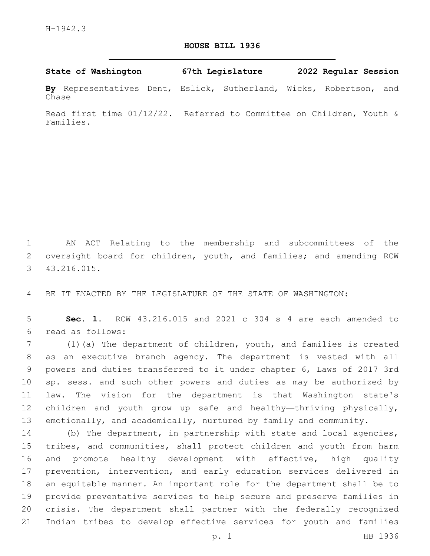## **HOUSE BILL 1936**

**State of Washington 67th Legislature 2022 Regular Session**

**By** Representatives Dent, Eslick, Sutherland, Wicks, Robertson, and Chase

Read first time 01/12/22. Referred to Committee on Children, Youth & Families.

 AN ACT Relating to the membership and subcommittees of the 2 oversight board for children, youth, and families; and amending RCW 43.216.015.3

BE IT ENACTED BY THE LEGISLATURE OF THE STATE OF WASHINGTON:

 **Sec. 1.** RCW 43.216.015 and 2021 c 304 s 4 are each amended to read as follows:6

 (1)(a) The department of children, youth, and families is created as an executive branch agency. The department is vested with all powers and duties transferred to it under chapter 6, Laws of 2017 3rd sp. sess. and such other powers and duties as may be authorized by law. The vision for the department is that Washington state's children and youth grow up safe and healthy—thriving physically, emotionally, and academically, nurtured by family and community.

 (b) The department, in partnership with state and local agencies, tribes, and communities, shall protect children and youth from harm and promote healthy development with effective, high quality prevention, intervention, and early education services delivered in an equitable manner. An important role for the department shall be to provide preventative services to help secure and preserve families in crisis. The department shall partner with the federally recognized Indian tribes to develop effective services for youth and families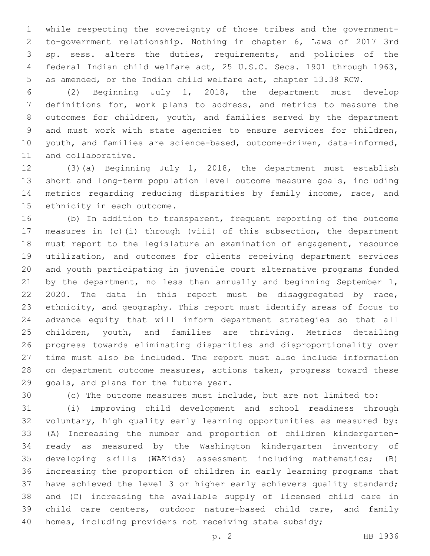while respecting the sovereignty of those tribes and the government- to-government relationship. Nothing in chapter 6, Laws of 2017 3rd sp. sess. alters the duties, requirements, and policies of the federal Indian child welfare act, 25 U.S.C. Secs. 1901 through 1963, as amended, or the Indian child welfare act, chapter 13.38 RCW.

 (2) Beginning July 1, 2018, the department must develop definitions for, work plans to address, and metrics to measure the outcomes for children, youth, and families served by the department and must work with state agencies to ensure services for children, youth, and families are science-based, outcome-driven, data-informed, 11 and collaborative.

 (3)(a) Beginning July 1, 2018, the department must establish short and long-term population level outcome measure goals, including metrics regarding reducing disparities by family income, race, and 15 ethnicity in each outcome.

 (b) In addition to transparent, frequent reporting of the outcome measures in (c)(i) through (viii) of this subsection, the department must report to the legislature an examination of engagement, resource utilization, and outcomes for clients receiving department services and youth participating in juvenile court alternative programs funded 21 by the department, no less than annually and beginning September 1, 2020. The data in this report must be disaggregated by race, ethnicity, and geography. This report must identify areas of focus to advance equity that will inform department strategies so that all children, youth, and families are thriving. Metrics detailing progress towards eliminating disparities and disproportionality over time must also be included. The report must also include information on department outcome measures, actions taken, progress toward these 29 goals, and plans for the future year.

(c) The outcome measures must include, but are not limited to:

 (i) Improving child development and school readiness through voluntary, high quality early learning opportunities as measured by: (A) Increasing the number and proportion of children kindergarten- ready as measured by the Washington kindergarten inventory of developing skills (WAKids) assessment including mathematics; (B) increasing the proportion of children in early learning programs that have achieved the level 3 or higher early achievers quality standard; and (C) increasing the available supply of licensed child care in child care centers, outdoor nature-based child care, and family 40 homes, including providers not receiving state subsidy;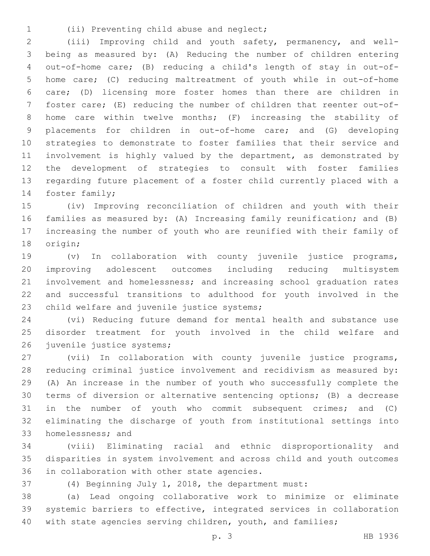- 
- (ii) Preventing child abuse and neglect;1

 (iii) Improving child and youth safety, permanency, and well- being as measured by: (A) Reducing the number of children entering out-of-home care; (B) reducing a child's length of stay in out-of- home care; (C) reducing maltreatment of youth while in out-of-home care; (D) licensing more foster homes than there are children in foster care; (E) reducing the number of children that reenter out-of- home care within twelve months; (F) increasing the stability of placements for children in out-of-home care; and (G) developing strategies to demonstrate to foster families that their service and involvement is highly valued by the department, as demonstrated by the development of strategies to consult with foster families regarding future placement of a foster child currently placed with a 14 foster family;

 (iv) Improving reconciliation of children and youth with their families as measured by: (A) Increasing family reunification; and (B) increasing the number of youth who are reunified with their family of 18 origin;

 (v) In collaboration with county juvenile justice programs, improving adolescent outcomes including reducing multisystem involvement and homelessness; and increasing school graduation rates and successful transitions to adulthood for youth involved in the 23 child welfare and juvenile justice systems;

 (vi) Reducing future demand for mental health and substance use disorder treatment for youth involved in the child welfare and 26 juvenile justice systems;

 (vii) In collaboration with county juvenile justice programs, reducing criminal justice involvement and recidivism as measured by: (A) An increase in the number of youth who successfully complete the terms of diversion or alternative sentencing options; (B) a decrease in the number of youth who commit subsequent crimes; and (C) eliminating the discharge of youth from institutional settings into 33 homelessness; and

 (viii) Eliminating racial and ethnic disproportionality and disparities in system involvement and across child and youth outcomes 36 in collaboration with other state agencies.

(4) Beginning July 1, 2018, the department must:

 (a) Lead ongoing collaborative work to minimize or eliminate systemic barriers to effective, integrated services in collaboration with state agencies serving children, youth, and families;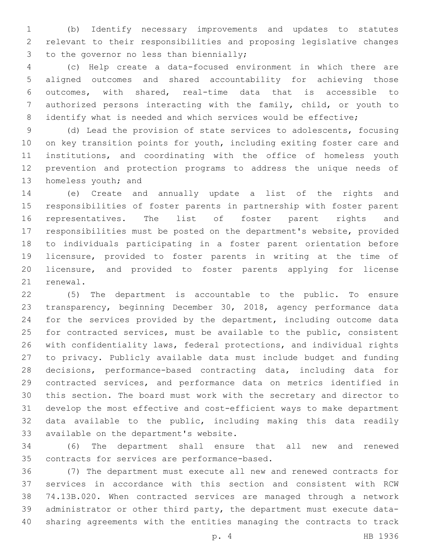(b) Identify necessary improvements and updates to statutes relevant to their responsibilities and proposing legislative changes 3 to the governor no less than biennially;

 (c) Help create a data-focused environment in which there are aligned outcomes and shared accountability for achieving those outcomes, with shared, real-time data that is accessible to authorized persons interacting with the family, child, or youth to 8 identify what is needed and which services would be effective;

 (d) Lead the provision of state services to adolescents, focusing on key transition points for youth, including exiting foster care and institutions, and coordinating with the office of homeless youth prevention and protection programs to address the unique needs of 13 homeless youth; and

 (e) Create and annually update a list of the rights and responsibilities of foster parents in partnership with foster parent representatives. The list of foster parent rights and responsibilities must be posted on the department's website, provided to individuals participating in a foster parent orientation before licensure, provided to foster parents in writing at the time of licensure, and provided to foster parents applying for license 21 renewal.

 (5) The department is accountable to the public. To ensure transparency, beginning December 30, 2018, agency performance data for the services provided by the department, including outcome data for contracted services, must be available to the public, consistent with confidentiality laws, federal protections, and individual rights to privacy. Publicly available data must include budget and funding decisions, performance-based contracting data, including data for contracted services, and performance data on metrics identified in this section. The board must work with the secretary and director to develop the most effective and cost-efficient ways to make department data available to the public, including making this data readily 33 available on the department's website.

 (6) The department shall ensure that all new and renewed 35 contracts for services are performance-based.

 (7) The department must execute all new and renewed contracts for services in accordance with this section and consistent with RCW 74.13B.020. When contracted services are managed through a network administrator or other third party, the department must execute data-sharing agreements with the entities managing the contracts to track

p. 4 HB 1936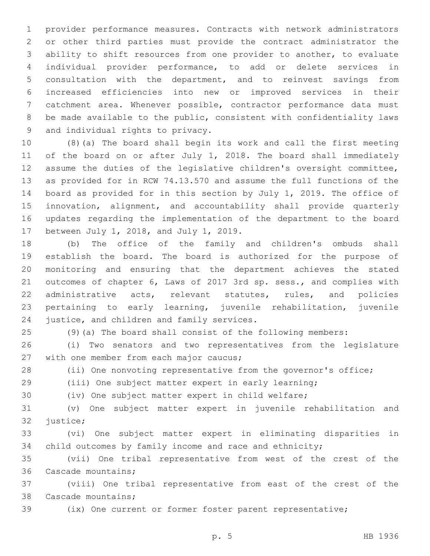provider performance measures. Contracts with network administrators or other third parties must provide the contract administrator the ability to shift resources from one provider to another, to evaluate individual provider performance, to add or delete services in consultation with the department, and to reinvest savings from increased efficiencies into new or improved services in their catchment area. Whenever possible, contractor performance data must be made available to the public, consistent with confidentiality laws 9 and individual rights to privacy.

 (8)(a) The board shall begin its work and call the first meeting of the board on or after July 1, 2018. The board shall immediately assume the duties of the legislative children's oversight committee, as provided for in RCW 74.13.570 and assume the full functions of the board as provided for in this section by July 1, 2019. The office of innovation, alignment, and accountability shall provide quarterly updates regarding the implementation of the department to the board 17 between July 1, 2018, and July 1, 2019.

 (b) The office of the family and children's ombuds shall establish the board. The board is authorized for the purpose of monitoring and ensuring that the department achieves the stated outcomes of chapter 6, Laws of 2017 3rd sp. sess., and complies with administrative acts, relevant statutes, rules, and policies pertaining to early learning, juvenile rehabilitation, juvenile 24 justice, and children and family services.

(9)(a) The board shall consist of the following members:

 (i) Two senators and two representatives from the legislature 27 with one member from each major caucus;

(ii) One nonvoting representative from the governor's office;

(iii) One subject matter expert in early learning;

(iv) One subject matter expert in child welfare;

 (v) One subject matter expert in juvenile rehabilitation and 32 justice;

 (vi) One subject matter expert in eliminating disparities in 34 child outcomes by family income and race and ethnicity;

 (vii) One tribal representative from west of the crest of the 36 Cascade mountains;

 (viii) One tribal representative from east of the crest of the 38 Cascade mountains;

(ix) One current or former foster parent representative;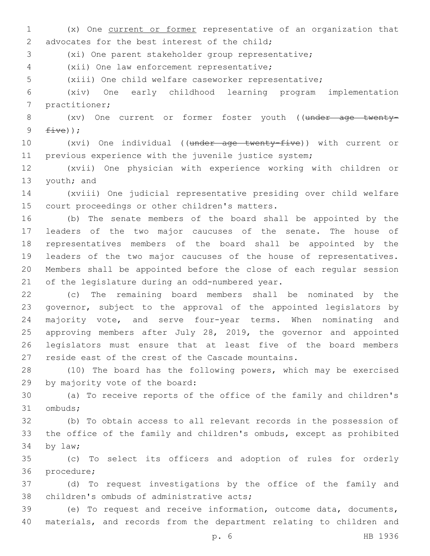(x) One current or former representative of an organization that 2 advocates for the best interest of the child;

(xi) One parent stakeholder group representative;

(xii) One law enforcement representative;4

(xiii) One child welfare caseworker representative;

 (xiv) One early childhood learning program implementation 7 practitioner;

8 (xv) One current or former foster youth ((under age twenty- $five)$ );

 (xvi) One individual ((under age twenty-five)) with current or previous experience with the juvenile justice system;

 (xvii) One physician with experience working with children or 13 youth; and

 (xviii) One judicial representative presiding over child welfare 15 court proceedings or other children's matters.

 (b) The senate members of the board shall be appointed by the leaders of the two major caucuses of the senate. The house of representatives members of the board shall be appointed by the leaders of the two major caucuses of the house of representatives. Members shall be appointed before the close of each regular session 21 of the legislature during an odd-numbered year.

 (c) The remaining board members shall be nominated by the governor, subject to the approval of the appointed legislators by majority vote, and serve four-year terms. When nominating and approving members after July 28, 2019, the governor and appointed legislators must ensure that at least five of the board members reside east of the crest of the Cascade mountains.

 (10) The board has the following powers, which may be exercised 29 by majority vote of the board:

 (a) To receive reports of the office of the family and children's 31 ombuds;

 (b) To obtain access to all relevant records in the possession of the office of the family and children's ombuds, except as prohibited 34 by law;

 (c) To select its officers and adoption of rules for orderly 36 procedure;

 (d) To request investigations by the office of the family and 38 children's ombuds of administrative acts;

 (e) To request and receive information, outcome data, documents, materials, and records from the department relating to children and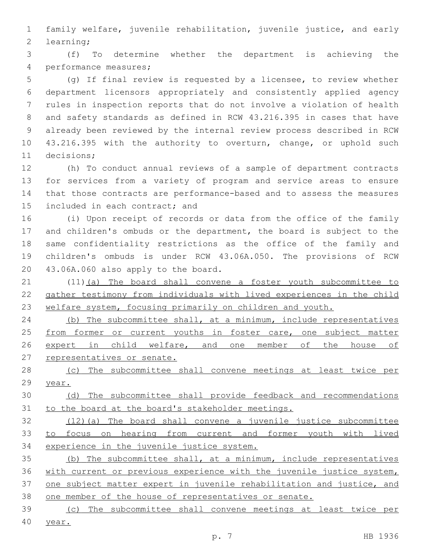family welfare, juvenile rehabilitation, juvenile justice, and early 2 learning;

 (f) To determine whether the department is achieving the 4 performance measures;

 (g) If final review is requested by a licensee, to review whether department licensors appropriately and consistently applied agency rules in inspection reports that do not involve a violation of health and safety standards as defined in RCW 43.216.395 in cases that have already been reviewed by the internal review process described in RCW 43.216.395 with the authority to overturn, change, or uphold such 11 decisions;

 (h) To conduct annual reviews of a sample of department contracts for services from a variety of program and service areas to ensure that those contracts are performance-based and to assess the measures 15 included in each contract; and

 (i) Upon receipt of records or data from the office of the family and children's ombuds or the department, the board is subject to the same confidentiality restrictions as the office of the family and children's ombuds is under RCW 43.06A.050. The provisions of RCW 20 43.06A.060 also apply to the board.

 (11)(a) The board shall convene a foster youth subcommittee to gather testimony from individuals with lived experiences in the child welfare system, focusing primarily on children and youth.

24 (b) The subcommittee shall, at a minimum, include representatives 25 from former or current youths in foster care, one subject matter 26 expert in child welfare, and one member of the house of representatives or senate.

 (c) The subcommittee shall convene meetings at least twice per year.

 (d) The subcommittee shall provide feedback and recommendations to the board at the board's stakeholder meetings.

 (12)(a) The board shall convene a juvenile justice subcommittee to focus on hearing from current and former youth with lived experience in the juvenile justice system.

 (b) The subcommittee shall, at a minimum, include representatives with current or previous experience with the juvenile justice system, one subject matter expert in juvenile rehabilitation and justice, and one member of the house of representatives or senate.

(c) The subcommittee shall convene meetings at least twice per

year.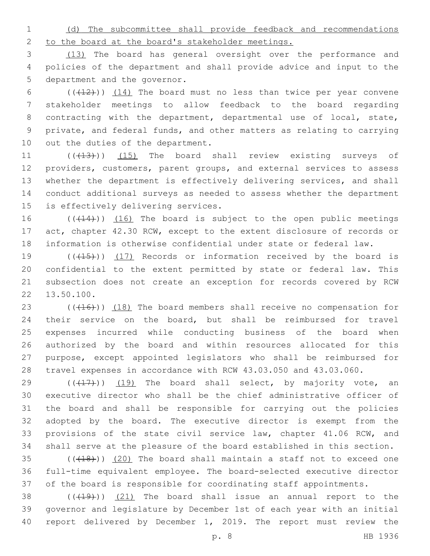(d) The subcommittee shall provide feedback and recommendations to the board at the board's stakeholder meetings.

 (13) The board has general oversight over the performance and policies of the department and shall provide advice and input to the 5 department and the governor.

 $((+12))$   $(14)$  The board must no less than twice per year convene stakeholder meetings to allow feedback to the board regarding contracting with the department, departmental use of local, state, private, and federal funds, and other matters as relating to carrying 10 out the duties of the department.

11 (( $(13)$ )) (15) The board shall review existing surveys of providers, customers, parent groups, and external services to assess whether the department is effectively delivering services, and shall conduct additional surveys as needed to assess whether the department 15 is effectively delivering services.

16  $((+14))$   $(16)$  The board is subject to the open public meetings act, chapter 42.30 RCW, except to the extent disclosure of records or information is otherwise confidential under state or federal law.

19 (((415))) (17) Records or information received by the board is confidential to the extent permitted by state or federal law. This subsection does not create an exception for records covered by RCW 22 13.50.100.

23 (((416))) (18) The board members shall receive no compensation for their service on the board, but shall be reimbursed for travel expenses incurred while conducting business of the board when authorized by the board and within resources allocated for this purpose, except appointed legislators who shall be reimbursed for travel expenses in accordance with RCW 43.03.050 and 43.03.060.

 $((+17))$  (19) The board shall select, by majority vote, an executive director who shall be the chief administrative officer of the board and shall be responsible for carrying out the policies adopted by the board. The executive director is exempt from the 33 provisions of the state civil service law, chapter 41.06 RCW, and shall serve at the pleasure of the board established in this section.

 $(1,18)$  (( $(1,18)$ )) (20) The board shall maintain a staff not to exceed one full-time equivalent employee. The board-selected executive director of the board is responsible for coordinating staff appointments.

38  $((+19))$   $(21)$  The board shall issue an annual report to the governor and legislature by December 1st of each year with an initial report delivered by December 1, 2019. The report must review the